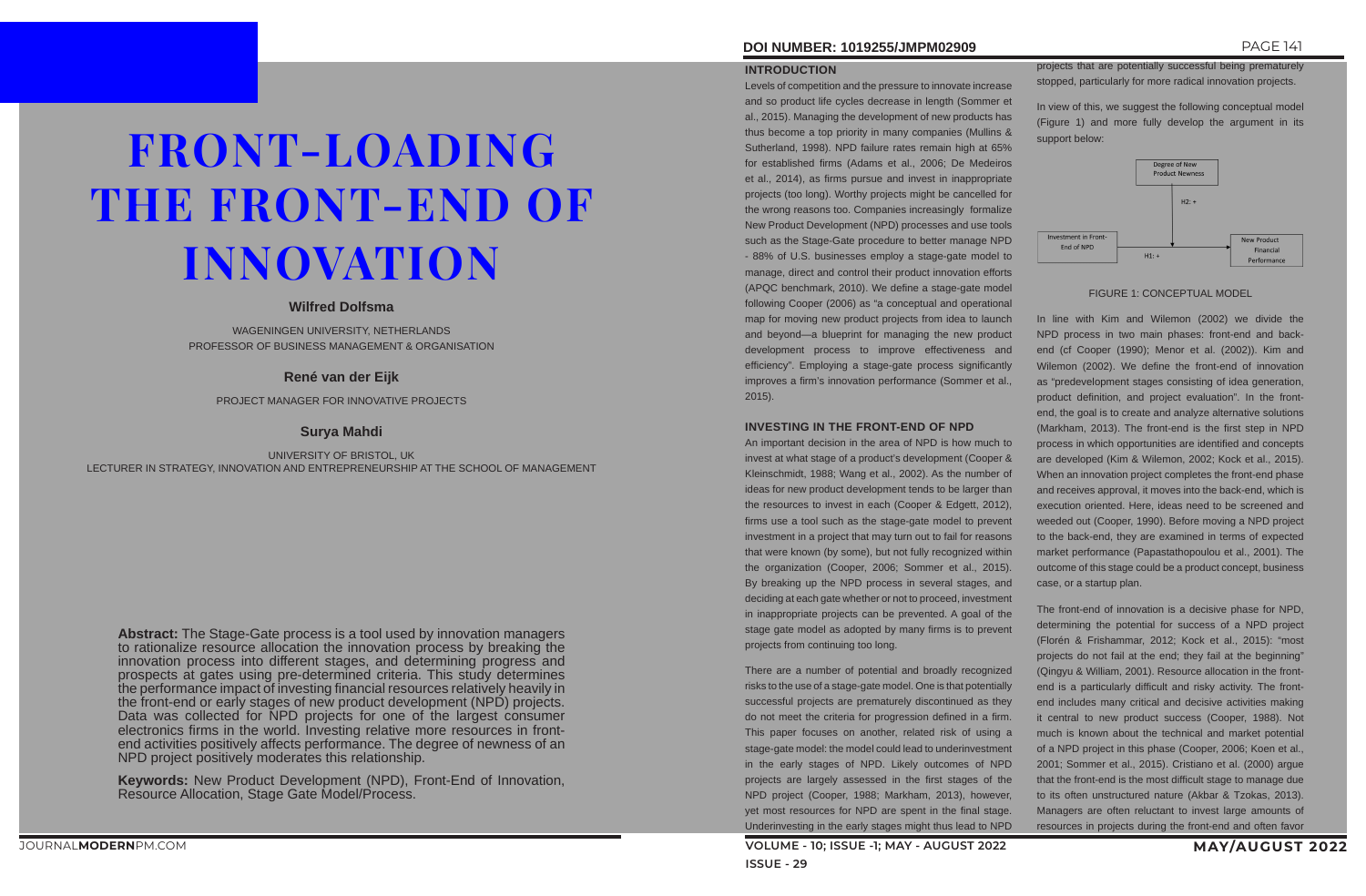# **DOI NUMBER: 1019255/JMPM02909** PAGE 141

#### **INTRODUCTION**

Levels of competition and the pressure to innovate increase and so product life cycles decrease in length (Sommer et al., 2015). Managing the development of new products has thus become a top priority in many companies (Mullins & Sutherland, 1998). NPD failure rates remain high at 65% for established firms (Adams et al., 2006; De Medeiros et al., 2014), as firms pursue and invest in inappropriate projects (too long). Worthy projects might be cancelled for the wrong reasons too. Companies increasingly formalize New Product Development (NPD) processes and use tools such as the Stage-Gate procedure to better manage NPD - 88% of U.S. businesses employ a stage-gate model to manage, direct and control their product innovation efforts (APQC benchmark, 2010). We define a stage-gate model following Cooper (2006) as "a conceptual and operational map for moving new product projects from idea to launch and beyond—a blueprint for managing the new product development process to improve effectiveness and efficiency". Employing a stage-gate process significantly improves a firm's innovation performance (Sommer et al., 2015).

#### **INVESTING IN THE FRONT-END OF NPD**

An important decision in the area of NPD is how much to invest at what stage of a product's development (Cooper & Kleinschmidt, 1988; Wang et al., 2002). As the number of ideas for new product development tends to be larger than the resources to invest in each (Cooper & Edgett, 2012), firms use a tool such as the stage-gate model to prevent investment in a project that may turn out to fail for reasons that were known (by some), but not fully recognized within the organization (Cooper, 2006; Sommer et al., 2015). By breaking up the NPD process in several stages, and deciding at each gate whether or not to proceed, investment in inappropriate projects can be prevented. A goal of the stage gate model as adopted by many firms is to prevent projects from continuing too long.

There are a number of potential and broadly recognized risks to the use of a stage-gate model. One is that potentially successful projects are prematurely discontinued as they do not meet the criteria for progression defined in a firm. This paper focuses on another, related risk of using a stage-gate model: the model could lead to underinvestment in the early stages of NPD. Likely outcomes of NPD projects are largely assessed in the first stages of the NPD project (Cooper, 1988; Markham, 2013), however, yet most resources for NPD are spent in the final stage. Underinvesting in the early stages might thus lead to NPD

projects that are potentially successful being prematurely stopped, particularly for more radical innovation projects.

In view of this, we suggest the following conceptual model (Figure 1) and more fully develop the argument in its support below:



#### FIGURE 1: CONCEPTUAL MODEL

In line with Kim and Wilemon (2002) we divide the NPD process in two main phases: front-end and backend (cf Cooper (1990); Menor et al. (2002)). Kim and Wilemon (2002). We define the front-end of innovation as "predevelopment stages consisting of idea generation, product definition, and project evaluation". In the frontend, the goal is to create and analyze alternative solutions (Markham, 2013). The front-end is the first step in NPD process in which opportunities are identified and concepts are developed (Kim & Wilemon, 2002; Kock et al., 2015). When an innovation project completes the front-end phase and receives approval, it moves into the back-end, which is execution oriented. Here, ideas need to be screened and weeded out (Cooper, 1990). Before moving a NPD project to the back-end, they are examined in terms of expected market performance (Papastathopoulou et al., 2001). The outcome of this stage could be a product concept, business case, or a startup plan.

The front-end of innovation is a decisive phase for NPD, determining the potential for success of a NPD project (Florén & Frishammar, 2012; Kock et al., 2015): "most projects do not fail at the end; they fail at the beginning" (Qingyu & William, 2001). Resource allocation in the frontend is a particularly difficult and risky activity. The frontend includes many critical and decisive activities making it central to new product success (Cooper, 1988). Not much is known about the technical and market potential of a NPD project in this phase (Cooper, 2006; Koen et al., 2001; Sommer et al., 2015). Cristiano et al. (2000) argue that the front-end is the most difficult stage to manage due to its often unstructured nature (Akbar & Tzokas, 2013). Managers are often reluctant to invest large amounts of resources in projects during the front-end and often favor

# FRONT-LOADING THE FRONT-END OF INNOVATION

### **Wilfred Dolfsma**

WAGENINGEN UNIVERSITY, NETHERLANDS PROFESSOR OF BUSINESS MANAGEMENT & ORGANISATION

# **René van der Eijk**

PROJECT MANAGER FOR INNOVATIVE PROJECTS

# **Surya Mahdi**

UNIVERSITY OF BRISTOL, UK LECTURER IN STRATEGY, INNOVATION AND ENTREPRENEURSHIP AT THE SCHOOL OF MANAGEMENT

**Abstract:** The Stage-Gate process is a tool used by innovation managers to rationalize resource allocation the innovation process by breaking the innovation process into different stages, and determining progress and prospects at gates using pre-determined criteria. This study determines the performance impact of investing financial resources relatively heavily in the front-end or early stages of new product development (NPD) projects. Data was collected for NPD projects for one of the largest consumer electronics firms in the world. Investing relative more resources in frontend activities positively affects performance. The degree of newness of an NPD project positively moderates this relationship.

**Keywords:** New Product Development (NPD), Front-End of Innovation, Resource Allocation, Stage Gate Model/Process.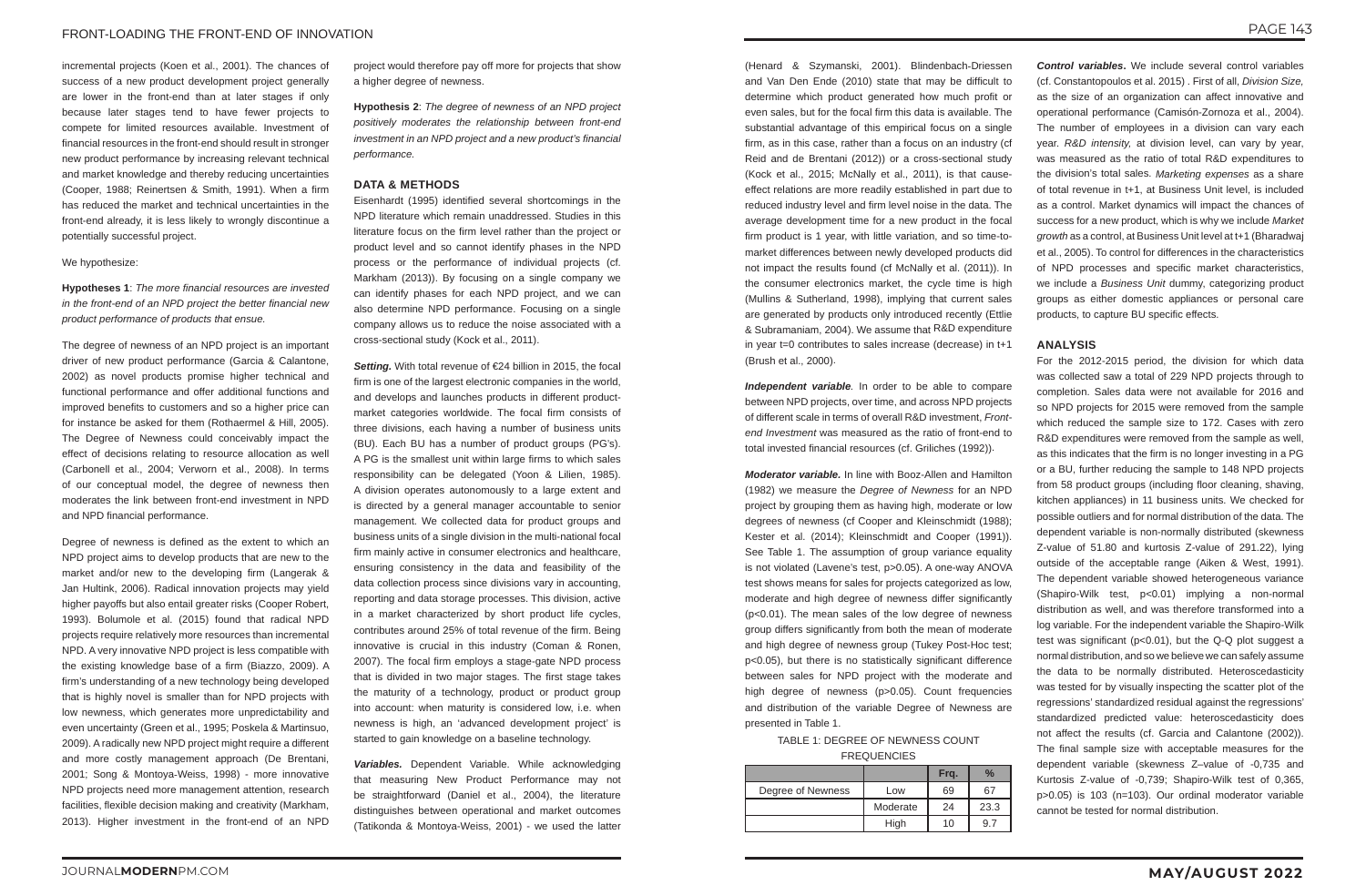incremental projects (Koen et al., 2001). The chances of success of a new product development project generally are lower in the front-end than at later stages if only because later stages tend to have fewer projects to compete for limited resources available. Investment of financial resources in the front-end should result in stronger new product performance by increasing relevant technical and market knowledge and thereby reducing uncertainties (Cooper, 1988; Reinertsen & Smith, 1991). When a firm has reduced the market and technical uncertainties in the front-end already, it is less likely to wrongly discontinue a potentially successful project.

#### We hypothesize:

**Hypotheses 1**: *The more financial resources are invested in the front-end of an NPD project the better financial new product performance of products that ensue.*

The degree of newness of an NPD project is an important driver of new product performance (Garcia & Calantone, 2002) as novel products promise higher technical and functional performance and offer additional functions and improved benefits to customers and so a higher price can for instance be asked for them (Rothaermel & Hill, 2005). The Degree of Newness could conceivably impact the effect of decisions relating to resource allocation as well (Carbonell et al., 2004; Verworn et al., 2008). In terms of our conceptual model, the degree of newness then moderates the link between front-end investment in NPD and NPD financial performance.

Degree of newness is defined as the extent to which an NPD project aims to develop products that are new to the market and/or new to the developing firm (Langerak & Jan Hultink, 2006). Radical innovation projects may yield higher payoffs but also entail greater risks (Cooper Robert, 1993). Bolumole et al. (2015) found that radical NPD projects require relatively more resources than incremental NPD. A very innovative NPD project is less compatible with the existing knowledge base of a firm (Biazzo, 2009). A firm's understanding of a new technology being developed that is highly novel is smaller than for NPD projects with low newness, which generates more unpredictability and even uncertainty (Green et al., 1995; Poskela & Martinsuo, 2009). A radically new NPD project might require a different and more costly management approach (De Brentani, 2001; Song & Montoya‐Weiss, 1998) - more innovative NPD projects need more management attention, research facilities, flexible decision making and creativity (Markham, 2013). Higher investment in the front-end of an NPD

project would therefore pay off more for projects that show a higher degree of newness.

**Hypothesis 2**: *The degree of newness of an NPD project positively moderates the relationship between front-end investment in an NPD project and a new product's financial performance.*

#### **DATA & METHODS**

Eisenhardt (1995) identified several shortcomings in the NPD literature which remain unaddressed. Studies in this literature focus on the firm level rather than the project or product level and so cannot identify phases in the NPD process or the performance of individual projects (cf. Markham (2013)). By focusing on a single company we can identify phases for each NPD project, and we can also determine NPD performance. Focusing on a single company allows us to reduce the noise associated with a cross-sectional study (Kock et al., 2011).

*Setting.* With total revenue of €24 billion in 2015, the focal firm is one of the largest electronic companies in the world, and develops and launches products in different productmarket categories worldwide. The focal firm consists of three divisions, each having a number of business units (BU). Each BU has a number of product groups (PG's). A PG is the smallest unit within large firms to which sales responsibility can be delegated (Yoon & Lilien, 1985). A division operates autonomously to a large extent and is directed by a general manager accountable to senior management. We collected data for product groups and business units of a single division in the multi-national focal firm mainly active in consumer electronics and healthcare, ensuring consistency in the data and feasibility of the data collection process since divisions vary in accounting, reporting and data storage processes. This division, active in a market characterized by short product life cycles, contributes around 25% of total revenue of the firm. Being innovative is crucial in this industry (Coman & Ronen, 2007). The focal firm employs a stage-gate NPD process that is divided in two major stages. The first stage takes the maturity of a technology, product or product group into account: when maturity is considered low, i.e. when newness is high, an 'advanced development project' is started to gain knowledge on a baseline technology.

*Variables.* Dependent Variable. While acknowledging that measuring New Product Performance may not be straightforward (Daniel et al., 2004), the literature distinguishes between operational and market outcomes (Tatikonda & Montoya-Weiss, 2001) - we used the latter

(Henard & Szymanski, 2001). Blindenbach‐Driessen and Van Den Ende (2010) state that may be difficult to determine which product generated how much profit or even sales, but for the focal firm this data is available. The substantial advantage of this empirical focus on a single firm, as in this case, rather than a focus on an industry (cf Reid and de Brentani (2012)) or a cross-sectional study (Kock et al., 2015; McNally et al., 2011), is that causeeffect relations are more readily established in part due to reduced industry level and firm level noise in the data. The average development time for a new product in the focal firm product is 1 year, with little variation, and so time-tomarket differences between newly developed products did not impact the results found (cf McNally et al. (2011)). In the consumer electronics market, the cycle time is high (Mullins & Sutherland, 1998), implying that current sales are generated by products only introduced recently (Ettlie & Subramaniam, 2004). We assume that R&D expenditure in year t=0 contributes to sales increase (decrease) in t+1 (Brush et al., 2000).

*Independent variable.* In order to be able to compare between NPD projects, over time, and across NPD projects of different scale in terms of overall R&D investment, *Frontend Investment* was measured as the ratio of front-end to total invested financial resources (cf. Griliches (1992)).

*Moderator variable.* In line with Booz-Allen and Hamilton (1982) we measure the *Degree of Newness* for an NPD project by grouping them as having high, moderate or low degrees of newness (cf Cooper and Kleinschmidt (1988); Kester et al. (2014); Kleinschmidt and Cooper (1991)). See Table 1. The assumption of group variance equality is not violated (Lavene's test, p>0.05). A one-way ANOVA test shows means for sales for projects categorized as low, moderate and high degree of newness differ significantly (p<0.01). The mean sales of the low degree of newness group differs significantly from both the mean of moderate and high degree of newness group (Tukey Post-Hoc test; p<0.05), but there is no statistically significant difference between sales for NPD project with the moderate and high degree of newness (p>0.05). Count frequencies and distribution of the variable Degree of Newness are presented in Table 1.

TABLE 1: DEGREE OF NEWNESS COUNT FREQUENCIES

|                   |          | Frg. | $\frac{0}{0}$ |
|-------------------|----------|------|---------------|
| Degree of Newness | Low      | 69   | 67            |
|                   | Moderate | 24   | 23.3          |
|                   | High     | 10   | 9.            |

*Control variables***.** We include several control variables (cf. Constantopoulos et al. 2015) . First of all, *Division Size,*  as the size of an organization can affect innovative and operational performance (Camisón-Zornoza et al., 2004). The number of employees in a division can vary each year. *R&D intensity,* at division level, can vary by year, was measured as the ratio of total R&D expenditures to the division's total sales. *Marketing expenses* as a share of total revenue in t+1, at Business Unit level, is included as a control. Market dynamics will impact the chances of success for a new product, which is why we include *Market growth* as a control, at Business Unit level at t+1 (Bharadwaj et al., 2005). To control for differences in the characteristics of NPD processes and specific market characteristics, we include a *Business Unit* dummy, categorizing product groups as either domestic appliances or personal care products, to capture BU specific effects.

#### **ANALYSIS**

For the 2012-2015 period, the division for which data was collected saw a total of 229 NPD projects through to completion. Sales data were not available for 2016 and so NPD projects for 2015 were removed from the sample which reduced the sample size to 172. Cases with zero R&D expenditures were removed from the sample as well, as this indicates that the firm is no longer investing in a PG or a BU, further reducing the sample to 148 NPD projects from 58 product groups (including floor cleaning, shaving, kitchen appliances) in 11 business units. We checked for possible outliers and for normal distribution of the data. The dependent variable is non-normally distributed (skewness Z-value of 51.80 and kurtosis Z-value of 291.22), lying outside of the acceptable range (Aiken & West, 1991). The dependent variable showed heterogeneous variance (Shapiro-Wilk test, p<0.01) implying a non-normal distribution as well, and was therefore transformed into a log variable. For the independent variable the Shapiro-Wilk test was significant (p<0.01), but the Q-Q plot suggest a normal distribution, and so we believe we can safely assume the data to be normally distributed. Heteroscedasticity was tested for by visually inspecting the scatter plot of the regressions' standardized residual against the regressions' standardized predicted value: heteroscedasticity does not affect the results (cf. Garcia and Calantone (2002)). The final sample size with acceptable measures for the dependent variable (skewness Z–value of -0,735 and Kurtosis Z-value of -0,739; Shapiro-Wilk test of 0,365, p>0.05) is 103 (n=103). Our ordinal moderator variable cannot be tested for normal distribution.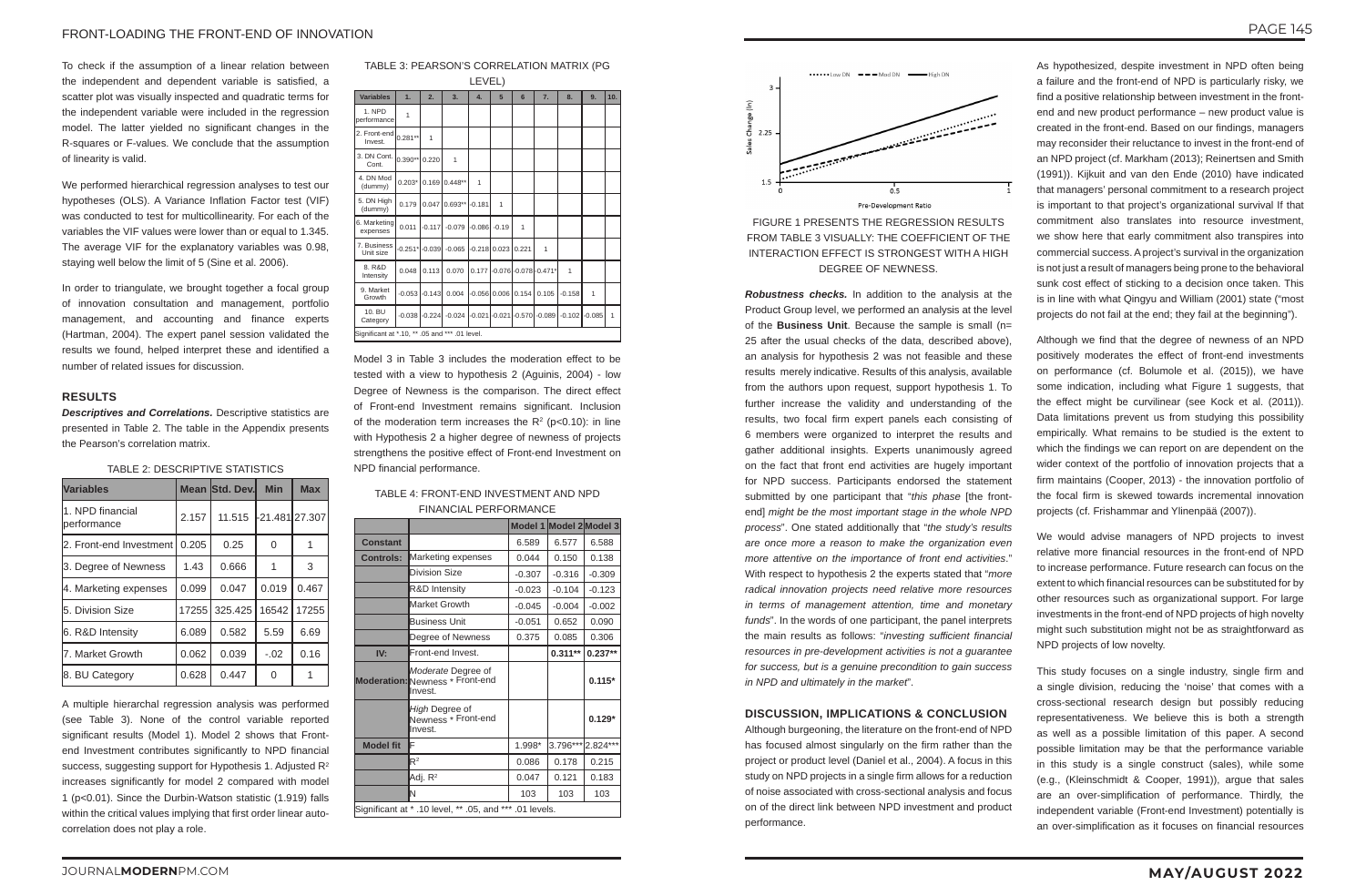# JOURNAL**MODERN**PM.COM **MAY/AUGUST 2022**

#### FRONT-LOADING THE FRONT-END OF INNOVATION

To check if the assumption of a linear relation between the independent and dependent variable is satisfied, a scatter plot was visually inspected and quadratic terms for the independent variable were included in the regression model. The latter yielded no significant changes in the R-squares or F-values. We conclude that the assumption of linearity is valid.

We performed hierarchical regression analyses to test our hypotheses (OLS). A Variance Inflation Factor test (VIF) was conducted to test for multicollinearity. For each of the variables the VIF values were lower than or equal to 1.345. The average VIF for the explanatory variables was 0.98, staying well below the limit of 5 (Sine et al. 2006).

In order to triangulate, we brought together a focal group of innovation consultation and management, portfolio management, and accounting and finance experts (Hartman, 2004). The expert panel session validated the results we found, helped interpret these and identified a number of related issues for discussion.

#### **RESULTS**

*Descriptives and Correlations.* Descriptive statistics are presented in Table 2. The table in the Appendix presents the Pearson's correlation matrix.

#### TABLE 2: DESCRIPTIVE STATISTICS

| <b>Variables</b>                |       | <b>Mean Std. Dev.</b> | <b>Min</b>       | <b>Max</b>   |
|---------------------------------|-------|-----------------------|------------------|--------------|
| 1. NPD financial<br>performance | 2.157 | 11.515                | $-21.481$ 27.307 |              |
| 2. Front-end Investment l       | 0.205 | 0.25                  | 0                | $\mathbf{1}$ |
| 3. Degree of Newness            | 1.43  | 0.666                 | 1                | 3            |
| 4. Marketing expenses           | 0.099 | 0.047                 | 0.019            | 0.467        |
| 5. Division Size                | 17255 | 325.425               | 16542            | 17255        |
| 6. R&D Intensity                | 6.089 | 0.582                 | 5.59             | 6.69         |
| 7. Market Growth                | 0.062 | 0.039                 | $-.02$           | 0.16         |
| 8. BU Category                  | 0.628 | 0.447                 | O                |              |

A multiple hierarchal regression analysis was performed (see Table 3). None of the control variable reported significant results (Model 1). Model 2 shows that Frontend Investment contributes significantly to NPD financial success, suggesting support for Hypothesis 1. Adjusted R<sup>2</sup> increases significantly for model 2 compared with model 1 (p<0.01). Since the Durbin-Watson statistic (1.919) falls within the critical values implying that first order linear autocorrelation does not play a role.

TABLE 3: PEARSON'S CORRELATION MATRIX (PG

| LEVEL)                                         |                  |              |              |              |               |                |                        |              |              |              |
|------------------------------------------------|------------------|--------------|--------------|--------------|---------------|----------------|------------------------|--------------|--------------|--------------|
| <b>Variables</b>                               | 1.               | 2.           | 3.           | 4.           | 5             | $6\phantom{1}$ | 7.                     | 8.           | 9.           | 10.          |
| 1. NPD<br>performance                          | 1                |              |              |              |               |                |                        |              |              |              |
| 2. Front-end<br>Invest.                        | $0.281**$        | $\mathbf{1}$ |              |              |               |                |                        |              |              |              |
| 3. DN Cont.<br>Cont.                           | $0.390**$        | 0.220        | $\mathbf{1}$ |              |               |                |                        |              |              |              |
| 4. DN Mod<br>(dummy)                           | $0.203*$         | 0.169        | $0.448**$    | $\mathbf{1}$ |               |                |                        |              |              |              |
| 5. DN High<br>(dummy)                          | 0.179            | 0.047        | $0.693**$    | $-0.181$     | $\mathbf{1}$  |                |                        |              |              |              |
| 6. Marketing<br>expenses                       | 0.011            | $-0.117$     | $-0.079$     | -0.086       | $-0.19$       | 1              |                        |              |              |              |
| 7. Business<br>Unit size                       | $-0.251*$ -0.039 |              | $-0.065$     |              | -0.218 0.023  | 0.221          | $\mathbf{1}$           |              |              |              |
| 8. R&D<br>Intensity                            | 0.048            | 0.113        | 0.070        | 0.177        |               |                | $-0.076$ -0.078-0.471* | $\mathbf{1}$ |              |              |
| 9. Market<br>Growth                            | $-0.053$         | $-0.143$     | 0.004        | -0.056       | 0.006         | 0.154          | 0.105                  | $-0.158$     | $\mathbf{1}$ |              |
| 10. BU<br>Category                             | $-0.038$         | $-0.224$     | $-0.024$     |              | 0.021 - 0.021 | $-0.570$       | $-0.089$               | $-0.102$     | $-0.085$     | $\mathbf{1}$ |
| Significant at *.10, ** .05 and *** .01 level. |                  |              |              |              |               |                |                        |              |              |              |

Model 3 in Table 3 includes the moderation effect to be tested with a view to hypothesis 2 (Aguinis, 2004) - low Degree of Newness is the comparison. The direct effect of Front-end Investment remains significant. Inclusion of the moderation term increases the  $R^2$  (p<0.10): in line with Hypothesis 2 a higher degree of newness of projects strengthens the positive effect of Front-end Investment on NPD financial performance.

#### TABLE 4: FRONT-END INVESTMENT AND NPD FINANCIAL PERFORMANCE

|                                                         |                                                                  | Model 1 Model 2 Model 3 |            |           |  |
|---------------------------------------------------------|------------------------------------------------------------------|-------------------------|------------|-----------|--|
| <b>Constant</b>                                         |                                                                  | 6.589                   | 6.577      | 6.588     |  |
| <b>Controls:</b>                                        | Marketing expenses                                               | 0.044                   | 0.150      | 0.138     |  |
|                                                         | Division Size                                                    | $-0.307$                | $-0.316$   | $-0.309$  |  |
|                                                         | R&D Intensity                                                    | $-0.023$                | $-0.104$   | $-0.123$  |  |
|                                                         | Market Growth                                                    | $-0.045$                | $-0.004$   | $-0.002$  |  |
|                                                         | Business Unit                                                    | $-0.051$                | 0.652      | 0.090     |  |
|                                                         | Degree of Newness                                                | 0.375                   | 0.085      | 0.306     |  |
| IV:                                                     | Front-end Invest.                                                |                         | $0.311**$  | $0.237**$ |  |
|                                                         | Moderate Degree of<br>Moderation: Newness * Front-end<br>Invest. |                         |            | $0.115*$  |  |
|                                                         | High Degree of<br>Newness * Front-end<br>Invest.                 |                         |            | $0.129*$  |  |
| <b>Model fit</b>                                        | F                                                                | 1.998*                  | $3.796***$ | 2.824***  |  |
|                                                         | $R^2$                                                            | 0.086                   | 0.178      | 0.215     |  |
|                                                         | Adi. R <sup>2</sup>                                              | 0.047                   | 0.121      | 0.183     |  |
|                                                         | ΙN                                                               | 103                     | 103        | 103       |  |
| Significant at * .10 level, ** .05, and *** .01 levels. |                                                                  |                         |            |           |  |



FIGURE 1 PRESENTS THE REGRESSION RESULTS FROM TABLE 3 VISUALLY: THE COEFFICIENT OF THE INTERACTION EFFECT IS STRONGEST WITH A HIGH DEGREE OF NEWNESS.

*Robustness checks.* In addition to the analysis at the Product Group level, we performed an analysis at the level of the **Business Unit**. Because the sample is small (n= 25 after the usual checks of the data, described above), an analysis for hypothesis 2 was not feasible and these results merely indicative. Results of this analysis, available from the authors upon request, support hypothesis 1. To further increase the validity and understanding of the results, two focal firm expert panels each consisting of 6 members were organized to interpret the results and gather additional insights. Experts unanimously agreed on the fact that front end activities are hugely important for NPD success. Participants endorsed the statement submitted by one participant that "*this phase* [the frontend] *might be the most important stage in the whole NPD process*". One stated additionally that "*the study's results are once more a reason to make the organization even more attentive on the importance of front end activities*." With respect to hypothesis 2 the experts stated that "*more radical innovation projects need relative more resources in terms of management attention, time and monetary funds*". In the words of one participant, the panel interprets the main results as follows: "*investing sufficient financial resources in pre-development activities is not a guarantee for success, but is a genuine precondition to gain success in NPD and ultimately in the market*".

#### **DISCUSSION, IMPLICATIONS & CONCLUSION**

Although burgeoning, the literature on the front-end of NPD has focused almost singularly on the firm rather than the project or product level (Daniel et al., 2004). A focus in this study on NPD projects in a single firm allows for a reduction of noise associated with cross-sectional analysis and focus on of the direct link between NPD investment and product performance.

As hypothesized, despite investment in NPD often being a failure and the front-end of NPD is particularly risky, we find a positive relationship between investment in the frontend and new product performance – new product value is created in the front-end. Based on our findings, managers may reconsider their reluctance to invest in the front-end of an NPD project (cf. Markham (2013); Reinertsen and Smith (1991)). Kijkuit and van den Ende (2010) have indicated that managers' personal commitment to a research project is important to that project's organizational survival If that commitment also translates into resource investment, we show here that early commitment also transpires into commercial success. A project's survival in the organization is not just a result of managers being prone to the behavioral sunk cost effect of sticking to a decision once taken. This is in line with what Qingyu and William (2001) state ("most projects do not fail at the end; they fail at the beginning").

Although we find that the degree of newness of an NPD positively moderates the effect of front-end investments on performance (cf. Bolumole et al. (2015)), we have some indication, including what Figure 1 suggests, that the effect might be curvilinear (see Kock et al. (2011)). Data limitations prevent us from studying this possibility empirically. What remains to be studied is the extent to which the findings we can report on are dependent on the wider context of the portfolio of innovation projects that a firm maintains (Cooper, 2013) - the innovation portfolio of the focal firm is skewed towards incremental innovation projects (cf. Frishammar and Ylinenpää (2007)).

We would advise managers of NPD projects to invest relative more financial resources in the front-end of NPD to increase performance. Future research can focus on the extent to which financial resources can be substituted for by other resources such as organizational support. For large investments in the front-end of NPD projects of high novelty might such substitution might not be as straightforward as NPD projects of low novelty.

This study focuses on a single industry, single firm and a single division, reducing the 'noise' that comes with a cross-sectional research design but possibly reducing representativeness. We believe this is both a strength as well as a possible limitation of this paper. A second possible limitation may be that the performance variable in this study is a single construct (sales), while some (e.g., (Kleinschmidt & Cooper, 1991)), argue that sales are an over-simplification of performance. Thirdly, the independent variable (Front-end Investment) potentially is an over-simplification as it focuses on financial resources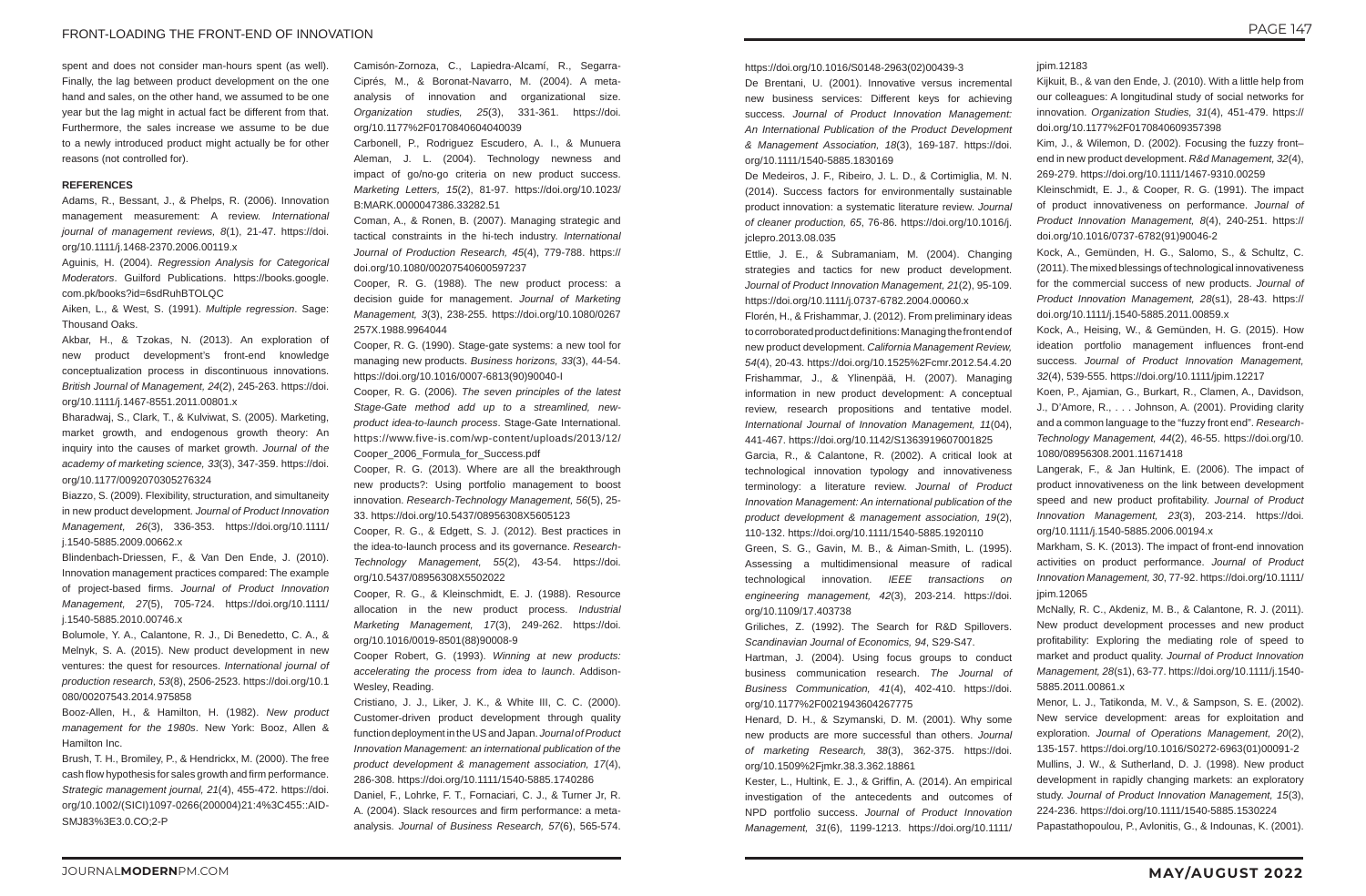#### FRONT-LOADING THE FRONT-END OF INNOVATION

spent and does not consider man-hours spent (as well). Finally, the lag between product development on the one hand and sales, on the other hand, we assumed to be one year but the lag might in actual fact be different from that. Furthermore, the sales increase we assume to be due to a newly introduced product might actually be for other reasons (not controlled for).

#### **REFERENCES**

Adams, R., Bessant, J., & Phelps, R. (2006). Innovation management measurement: A review. *International journal of management reviews, 8*(1), 21-47. https://doi. org/10.1111/j.1468-2370.2006.00119.x

Aguinis, H. (2004). *Regression Analysis for Categorical Moderators*. Guilford Publications. https://books.google. com.pk/books?id=6sdRuhBTOLQC

Aiken, L., & West, S. (1991). *Multiple regression*. Sage: Thousand Oaks.

Akbar, H., & Tzokas, N. (2013). An exploration of new product development's front‐end knowledge conceptualization process in discontinuous innovations. *British Journal of Management, 24*(2), 245-263. https://doi. org/10.1111/j.1467-8551.2011.00801.x

Bharadwaj, S., Clark, T., & Kulviwat, S. (2005). Marketing, market growth, and endogenous growth theory: An inquiry into the causes of market growth. *Journal of the academy of marketing science, 33*(3), 347-359. https://doi. org/10.1177/0092070305276324

Biazzo, S. (2009). Flexibility, structuration, and simultaneity in new product development. *Journal of Product Innovation Management, 26*(3), 336-353. https://doi.org/10.1111/ j.1540-5885.2009.00662.x

Blindenbach‐Driessen, F., & Van Den Ende, J. (2010). Innovation management practices compared: The example of project‐based firms. *Journal of Product Innovation Management, 27*(5), 705-724. https://doi.org/10.1111/ j.1540-5885.2010.00746.x

Bolumole, Y. A., Calantone, R. J., Di Benedetto, C. A., & Melnyk, S. A. (2015). New product development in new ventures: the quest for resources. *International journal of production research, 53*(8), 2506-2523. https://doi.org/10.1 080/00207543.2014.975858

Booz-Allen, H., & Hamilton, H. (1982). *New product management for the 1980s*. New York: Booz, Allen & Hamilton Inc.

Brush, T. H., Bromiley, P., & Hendrickx, M. (2000). The free cash flow hypothesis for sales growth and firm performance. *Strategic management journal, 21*(4), 455-472. https://doi. org/10.1002/(SICI)1097-0266(200004)21:4%3C455::AID-SMJ83%3E3.0.CO;2-P

Camisón-Zornoza, C., Lapiedra-Alcamí, R., Segarra-Ciprés, M., & Boronat-Navarro, M. (2004). A metaanalysis of innovation and organizational size. *Organization studies, 25*(3), 331-361. https://doi. org/10.1177%2F0170840604040039

Carbonell, P., Rodriguez Escudero, A. I., & Munuera Aleman, J. L. (2004). Technology newness and impact of go/no-go criteria on new product success. *Marketing Letters, 15*(2), 81-97. https://doi.org/10.1023/ B:MARK.0000047386.33282.51

Coman, A., & Ronen, B. (2007). Managing strategic and tactical constraints in the hi-tech industry. *International Journal of Production Research, 45*(4), 779-788. https:// doi.org/10.1080/00207540600597237

Cooper, R. G. (1988). The new product process: a decision guide for management. *Journal of Marketing Management, 3*(3), 238-255. https://doi.org/10.1080/0267 257X.1988.9964044

Cooper, R. G. (1990). Stage-gate systems: a new tool for managing new products. *Business horizons, 33*(3), 44-54. https://doi.org/10.1016/0007-6813(90)90040-I

Cooper, R. G. (2006). *The seven principles of the latest Stage-Gate method add up to a streamlined, newproduct idea-to-launch process*. Stage-Gate International. https://www.five-is.com/wp-content/uploads/2013/12/ Cooper\_2006\_Formula\_for\_Success.pdf

Cooper, R. G. (2013). Where are all the breakthrough new products?: Using portfolio management to boost innovation. *Research-Technology Management, 56*(5), 25- 33. https://doi.org/10.5437/08956308X5605123

Cooper, R. G., & Edgett, S. J. (2012). Best practices in the idea-to-launch process and its governance. *Research-Technology Management, 55*(2), 43-54. https://doi. org/10.5437/08956308X5502022

Cooper, R. G., & Kleinschmidt, E. J. (1988). Resource allocation in the new product process. *Industrial Marketing Management, 17*(3), 249-262. https://doi. org/10.1016/0019-8501(88)90008-9

Cooper Robert, G. (1993). *Winning at new products: accelerating the process from idea to launch*. Addison-Wesley, Reading.

Cristiano, J. J., Liker, J. K., & White III, C. C. (2000). Customer-driven product development through quality function deployment in the US and Japan. *Journal of Product Innovation Management: an international publication of the product development & management association, 17*(4), 286-308. https://doi.org/10.1111/1540-5885.1740286

Daniel, F., Lohrke, F. T., Fornaciari, C. J., & Turner Jr, R. A. (2004). Slack resources and firm performance: a metaanalysis. *Journal of Business Research, 57*(6), 565-574.

#### https://doi.org/10.1016/S0148-2963(02)00439-3

De Brentani, U. (2001). Innovative versus incremental new business services: Different keys for achieving success. *Journal of Product Innovation Management: An International Publication of the Product Development & Management Association, 18*(3), 169-187. https://doi. org/10.1111/1540-5885.1830169

De Medeiros, J. F., Ribeiro, J. L. D., & Cortimiglia, M. N. (2014). Success factors for environmentally sustainable product innovation: a systematic literature review. *Journal of cleaner production, 65*, 76-86. https://doi.org/10.1016/j. jclepro.2013.08.035

Ettlie, J. E., & Subramaniam, M. (2004). Changing strategies and tactics for new product development. *Journal of Product Innovation Management, 21*(2), 95-109. https://doi.org/10.1111/j.0737-6782.2004.00060.x

Florén, H., & Frishammar, J. (2012). From preliminary ideas to corroborated product definitions: Managing the front end of new product development. *California Management Review, 54*(4), 20-43. https://doi.org/10.1525%2Fcmr.2012.54.4.20 Frishammar, J., & Ylinenpää, H. (2007). Managing information in new product development: A conceptual review, research propositions and tentative model. *International Journal of Innovation Management, 11*(04), 441-467. https://doi.org/10.1142/S1363919607001825

Garcia, R., & Calantone, R. (2002). A critical look at technological innovation typology and innovativeness terminology: a literature review. *Journal of Product Innovation Management: An international publication of the product development & management association, 19*(2), 110-132. https://doi.org/10.1111/1540-5885.1920110

Green, S. G., Gavin, M. B., & Aiman-Smith, L. (1995). Assessing a multidimensional measure of radical technological innovation. *IEEE transactions on engineering management, 42*(3), 203-214. https://doi. org/10.1109/17.403738

Griliches, Z. (1992). The Search for R&D Spillovers. *Scandinavian Journal of Economics, 94*, S29-S47.

Hartman, J. (2004). Using focus groups to conduct business communication research. *The Journal of Business Communication, 41*(4), 402-410. https://doi. org/10.1177%2F0021943604267775

Henard, D. H., & Szymanski, D. M. (2001). Why some new products are more successful than others. *Journal of marketing Research, 38*(3), 362-375. https://doi. org/10.1509%2Fjmkr.38.3.362.18861

Kester, L., Hultink, E. J., & Griffin, A. (2014). An empirical investigation of the antecedents and outcomes of NPD portfolio success. *Journal of Product Innovation Management, 31*(6), 1199-1213. https://doi.org/10.1111/ jpim.12183

- Kijkuit, B., & van den Ende, J. (2010). With a little help from our colleagues: A longitudinal study of social networks for innovation. *Organization Studies, 31*(4), 451-479. https:// doi.org/10.1177%2F0170840609357398
- Kim, J., & Wilemon, D. (2002). Focusing the fuzzy front– end in new product development. *R&d Management, 32*(4), 269-279. https://doi.org/10.1111/1467-9310.00259
- Kleinschmidt, E. J., & Cooper, R. G. (1991). The impact of product innovativeness on performance. *Journal of Product Innovation Management, 8*(4), 240-251. https:// doi.org/10.1016/0737-6782(91)90046-2
- Kock, A., Gemünden, H. G., Salomo, S., & Schultz, C. (2011). The mixed blessings of technological innovativeness for the commercial success of new products. *Journal of Product Innovation Management, 28*(s1), 28-43. https:// doi.org/10.1111/j.1540-5885.2011.00859.x
- Kock, A., Heising, W., & Gemünden, H. G. (2015). How ideation portfolio management influences front-end success. *Journal of Product Innovation Management, 32*(4), 539-555. https://doi.org/10.1111/jpim.12217
- Koen, P., Ajamian, G., Burkart, R., Clamen, A., Davidson, J., D'Amore, R., . . . Johnson, A. (2001). Providing clarity and a common language to the "fuzzy front end". *Research-Technology Management, 44*(2), 46-55. https://doi.org/10. 1080/08956308.2001.11671418
- Langerak, F., & Jan Hultink, E. (2006). The impact of product innovativeness on the link between development speed and new product profitability. *Journal of Product Innovation Management, 23*(3), 203-214. https://doi. org/10.1111/j.1540-5885.2006.00194.x
- Markham, S. K. (2013). The impact of front-end innovation activities on product performance. *Journal of Product Innovation Management, 30*, 77-92. https://doi.org/10.1111/ jpim.12065
- McNally, R. C., Akdeniz, M. B., & Calantone, R. J. (2011). New product development processes and new product profitability: Exploring the mediating role of speed to market and product quality. *Journal of Product Innovation Management, 28*(s1), 63-77. https://doi.org/10.1111/j.1540- 5885.2011.00861.x
- Menor, L. J., Tatikonda, M. V., & Sampson, S. E. (2002). New service development: areas for exploitation and exploration. *Journal of Operations Management, 20*(2), 135-157. https://doi.org/10.1016/S0272-6963(01)00091-2
- Mullins, J. W., & Sutherland, D. J. (1998). New product development in rapidly changing markets: an exploratory study. *Journal of Product Innovation Management, 15*(3), 224-236. https://doi.org/10.1111/1540-5885.1530224
- Papastathopoulou, P., Avlonitis, G., & Indounas, K. (2001).